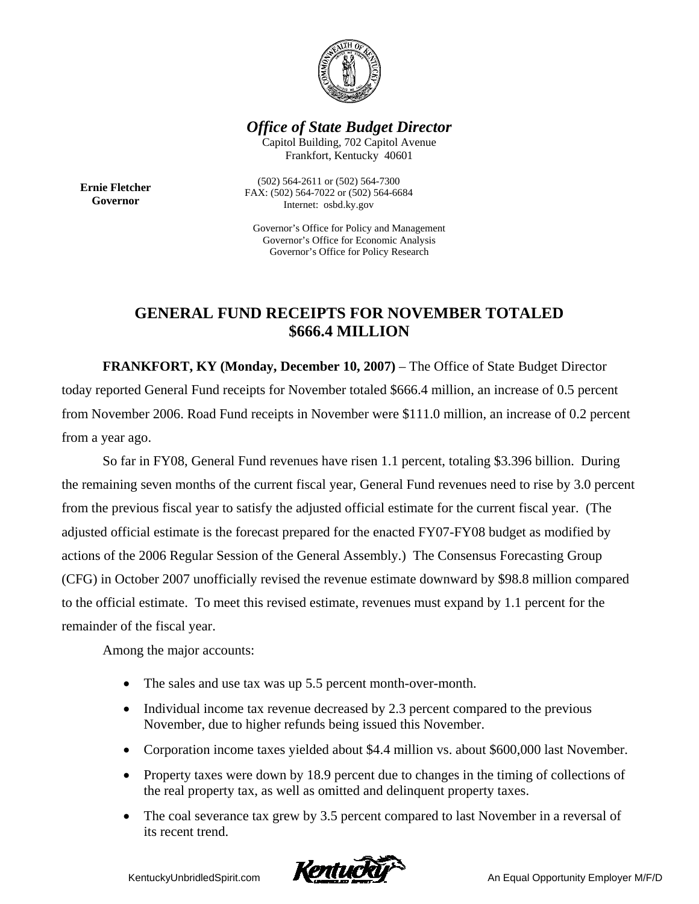

## *Office of State Budget Director*

Capitol Building, 702 Capitol Avenue Frankfort, Kentucky 40601

**Ernie Fletcher Governor** 

(502) 564-2611 or (502) 564-7300 FAX: (502) 564-7022 or (502) 564-6684 Internet: osbd.ky.gov

Governor's Office for Policy and Management Governor's Office for Economic Analysis Governor's Office for Policy Research

## **GENERAL FUND RECEIPTS FOR NOVEMBER TOTALED \$666.4 MILLION**

 **FRANKFORT, KY (Monday, December 10, 2007)** – The Office of State Budget Director today reported General Fund receipts for November totaled \$666.4 million, an increase of 0.5 percent from November 2006. Road Fund receipts in November were \$111.0 million, an increase of 0.2 percent from a year ago.

So far in FY08, General Fund revenues have risen 1.1 percent, totaling \$3.396 billion. During the remaining seven months of the current fiscal year, General Fund revenues need to rise by 3.0 percent from the previous fiscal year to satisfy the adjusted official estimate for the current fiscal year. (The adjusted official estimate is the forecast prepared for the enacted FY07-FY08 budget as modified by actions of the 2006 Regular Session of the General Assembly.) The Consensus Forecasting Group (CFG) in October 2007 unofficially revised the revenue estimate downward by \$98.8 million compared to the official estimate. To meet this revised estimate, revenues must expand by 1.1 percent for the remainder of the fiscal year.

Among the major accounts:

- The sales and use tax was up 5.5 percent month-over-month.
- Individual income tax revenue decreased by 2.3 percent compared to the previous November, due to higher refunds being issued this November.
- Corporation income taxes yielded about \$4.4 million vs. about \$600,000 last November.
- Property taxes were down by 18.9 percent due to changes in the timing of collections of the real property tax, as well as omitted and delinquent property taxes.
- The coal severance tax grew by 3.5 percent compared to last November in a reversal of its recent trend.

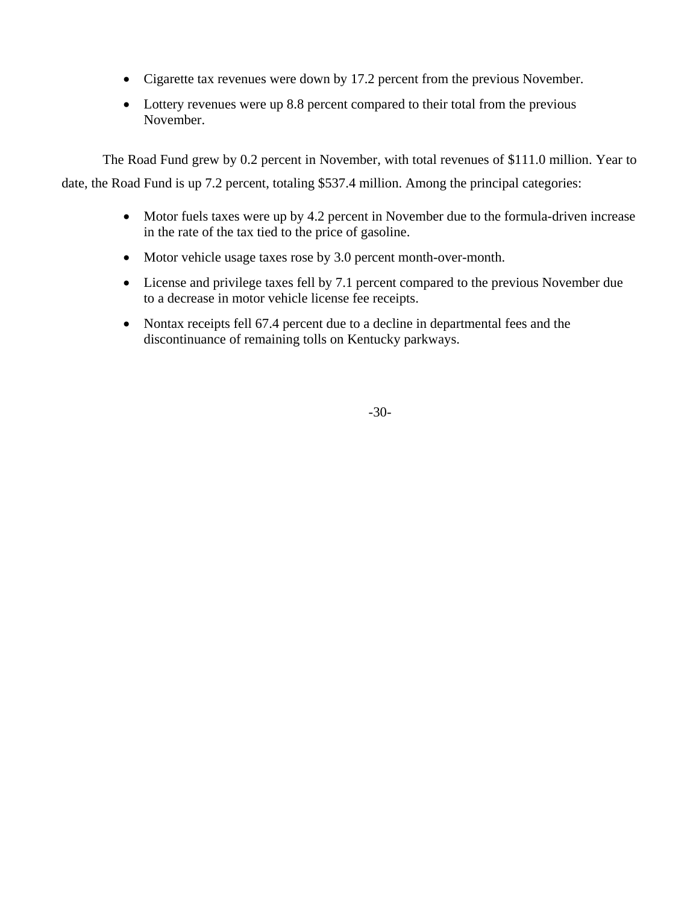- Cigarette tax revenues were down by 17.2 percent from the previous November.
- Lottery revenues were up 8.8 percent compared to their total from the previous November.

 The Road Fund grew by 0.2 percent in November, with total revenues of \$111.0 million. Year to date, the Road Fund is up 7.2 percent, totaling \$537.4 million. Among the principal categories:

- Motor fuels taxes were up by 4.2 percent in November due to the formula-driven increase in the rate of the tax tied to the price of gasoline.
- Motor vehicle usage taxes rose by 3.0 percent month-over-month.
- License and privilege taxes fell by 7.1 percent compared to the previous November due to a decrease in motor vehicle license fee receipts.
- Nontax receipts fell 67.4 percent due to a decline in departmental fees and the discontinuance of remaining tolls on Kentucky parkways.

-30-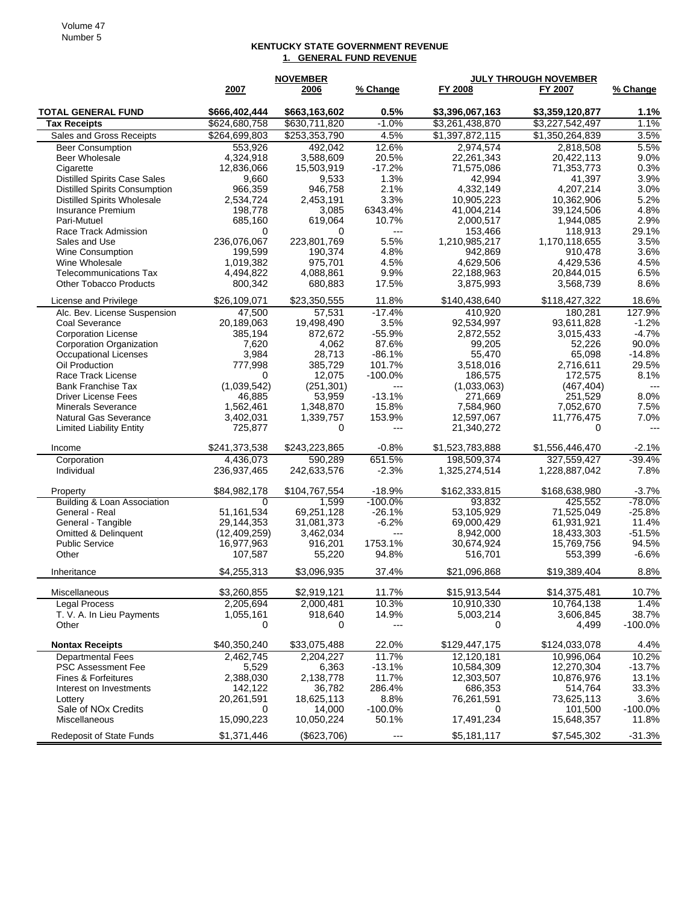## **KENTUCKY STATE GOVERNMENT REVENUE 1. GENERAL FUND REVENUE**

|                                                         |                      | <b>NOVEMBER</b>     |                        | <b>JULY THROUGH NOVEMBER</b> |                          |                    |
|---------------------------------------------------------|----------------------|---------------------|------------------------|------------------------------|--------------------------|--------------------|
|                                                         | 2007                 | 2006                | % Change               | FY 2008                      | FY 2007                  | % Change           |
| <b>TOTAL GENERAL FUND</b>                               | \$666,402,444        | \$663,163,602       | 0.5%                   | \$3,396,067,163              | \$3,359,120,877          | 1.1%               |
| <b>Tax Receipts</b>                                     | \$624,680,758        | \$630,711,820       | $-1.0%$                | \$3,261,438,870              | \$3,227,542,497          | 1.1%               |
| Sales and Gross Receipts                                | \$264,699,803        | \$253,353,790       | 4.5%                   | \$1,397,872,115              | \$1,350,264,839          | 3.5%               |
| <b>Beer Consumption</b>                                 | 553,926              | 492,042             | 12.6%                  | 2,974,574                    | 2,818,508                | 5.5%               |
| Beer Wholesale                                          | 4,324,918            | 3,588,609           | 20.5%                  | 22,261,343                   | 20,422,113               | 9.0%               |
| Cigarette                                               | 12,836,066           | 15,503,919          | $-17.2%$               | 71,575,086                   | 71,353,773               | 0.3%               |
| <b>Distilled Spirits Case Sales</b>                     | 9,660                | 9,533               | 1.3%                   | 42,994                       | 41,397                   | 3.9%               |
| <b>Distilled Spirits Consumption</b>                    | 966,359              | 946,758             | 2.1%                   | 4,332,149                    | 4,207,214                | 3.0%               |
| <b>Distilled Spirits Wholesale</b>                      | 2,534,724            | 2,453,191           | 3.3%                   | 10,905,223                   | 10,362,906               | 5.2%               |
| Insurance Premium                                       | 198.778              | 3,085               | 6343.4%<br>10.7%       | 41,004,214<br>2,000,517      | 39,124,506               | 4.8%<br>2.9%       |
| Pari-Mutuel<br>Race Track Admission                     | 685,160<br>0         | 619,064<br>0        | $---$                  | 153,466                      | 1,944,085<br>118,913     | 29.1%              |
| Sales and Use                                           | 236,076,067          | 223,801,769         | 5.5%                   | 1,210,985,217                | 1,170,118,655            | 3.5%               |
| <b>Wine Consumption</b>                                 | 199,599              | 190,374             | 4.8%                   | 942,869                      | 910,478                  | 3.6%               |
| Wine Wholesale                                          | 1,019,382            | 975,701             | 4.5%                   | 4,629,506                    | 4,429,536                | 4.5%               |
| <b>Telecommunications Tax</b>                           | 4,494,822            | 4,088,861           | 9.9%                   | 22,188,963                   | 20,844,015               | 6.5%               |
| <b>Other Tobacco Products</b>                           | 800,342              | 680,883             | 17.5%                  | 3,875,993                    | 3,568,739                | 8.6%               |
| License and Privilege                                   | \$26,109,071         | \$23,350,555        | 11.8%                  | \$140.438.640                | \$118,427,322            | 18.6%              |
| Alc. Bev. License Suspension                            | 47,500               | 57,531              | $-17.4%$               | 410,920                      | 180,281                  | 127.9%             |
| Coal Severance                                          | 20,189,063           | 19,498,490          | 3.5%                   | 92,534,997                   | 93,611,828               | $-1.2%$            |
| <b>Corporation License</b>                              | 385,194              | 872,672             | $-55.9%$               | 2,872,552                    | 3,015,433                | $-4.7%$            |
| <b>Corporation Organization</b>                         | 7,620                | 4,062               | 87.6%                  | 99,205                       | 52,226                   | 90.0%              |
| Occupational Licenses                                   | 3,984                | 28,713              | $-86.1%$               | 55,470                       | 65,098                   | $-14.8%$           |
| Oil Production                                          | 777,998              | 385.729             | 101.7%                 | 3,518,016                    | 2,716,611                | 29.5%              |
| Race Track License                                      | 0                    | 12,075              | $-100.0%$              | 186.575                      | 172,575                  | 8.1%               |
| <b>Bank Franchise Tax</b>                               | (1,039,542)          | (251, 301)          | $---$<br>$-13.1%$      | (1.033.063)                  | (467, 404)               | $---$<br>8.0%      |
| <b>Driver License Fees</b><br><b>Minerals Severance</b> | 46,885<br>1,562,461  | 53,959<br>1,348,870 | 15.8%                  | 271,669<br>7,584,960         | 251,529<br>7,052,670     | 7.5%               |
| <b>Natural Gas Severance</b>                            | 3,402,031            | 1,339,757           | 153.9%                 | 12,597,067                   | 11,776,475               | 7.0%               |
| <b>Limited Liability Entity</b>                         | 725,877              | 0                   | $---$                  | 21,340,272                   | 0                        | $---$              |
| Income                                                  | \$241,373,538        | \$243,223,865       | -0.8%                  | \$1,523,783,888              | \$1,556,446,470          | $-2.1%$            |
| Corporation                                             | 4,436,073            | 590,289             | 651.5%                 | 198,509,374                  | 327,559,427              | $-39.4%$           |
| Individual                                              | 236,937,465          | 242,633,576         | -2.3%                  | 1,325,274,514                | 1,228,887,042            | 7.8%               |
| Property                                                | \$84,982,178         | \$104,767,554       | $-18.9%$               | \$162,333,815                | \$168,638,980            | $-3.7%$            |
| Building & Loan Association<br>General - Real           | 51,161,534           | 1,599<br>69,251,128 | $-100.0\%$<br>$-26.1%$ | 93,832<br>53,105,929         | 425,552                  | -78.0%<br>$-25.8%$ |
| General - Tangible                                      | 29,144,353           | 31,081,373          | $-6.2%$                | 69,000,429                   | 71,525,049<br>61,931,921 | 11.4%              |
| <b>Omitted &amp; Delinquent</b>                         | (12, 409, 259)       | 3,462,034           | $---$                  | 8,942,000                    | 18,433,303               | $-51.5%$           |
| <b>Public Service</b>                                   | 16,977,963           | 916,201             | 1753.1%                | 30,674,924                   | 15,769,756               | 94.5%              |
| Other                                                   | 107,587              | 55,220              | 94.8%                  | 516,701                      | 553,399                  | $-6.6%$            |
| Inheritance                                             | \$4,255,313          | \$3,096,935         | 37.4%                  | \$21,096,868                 | \$19,389,404             | 8.8%               |
| Miscellaneous                                           | \$3,260,855          | \$2,919,121         | 11.7%                  | \$15,913,544                 | \$14,375,481             | 10.7%              |
| <b>Legal Process</b>                                    | 2,205,694            | 2,000,481           | 10.3%                  | 10,910,330                   | 10,764,138               | 1.4%               |
| T. V. A. In Lieu Payments                               | 1,055,161            | 918,640             | 14.9%                  | 5,003,214                    | 3,606,845                | 38.7%              |
| Other                                                   | 0                    | 0                   | ---                    | 0                            | 4,499                    | $-100.0%$          |
| <b>Nontax Receipts</b>                                  | \$40,350,240         | \$33,075,488        | 22.0%                  | \$129,447,175                | \$124,033,078            | 4.4%               |
| <b>Departmental Fees</b>                                | 2,462,745            | 2.204.227           | 11.7%                  | 12,120,181                   | 10,996,064               | 10.2%              |
| <b>PSC Assessment Fee</b>                               | 5,529                | 6,363               | $-13.1%$               | 10,584,309                   | 12,270,304               | $-13.7%$           |
| Fines & Forfeitures                                     | 2,388,030<br>142,122 | 2,138,778<br>36,782 | 11.7%                  | 12,303,507                   | 10,876,976               | 13.1%              |
| Interest on Investments<br>Lottery                      | 20,261,591           | 18,625,113          | 286.4%<br>8.8%         | 686,353<br>76,261,591        | 514,764<br>73,625,113    | 33.3%<br>3.6%      |
| Sale of NO <sub>x</sub> Credits                         | 0                    | 14,000              | $-100.0\%$             | 0                            | 101,500                  | $-100.0\%$         |
| <b>Miscellaneous</b>                                    | 15,090,223           | 10,050,224          | 50.1%                  | 17,491,234                   | 15,648,357               | 11.8%              |
| <b>Redeposit of State Funds</b>                         | \$1,371,446          | (\$623,706)         | ---                    | \$5,181,117                  | \$7,545,302              | $-31.3%$           |